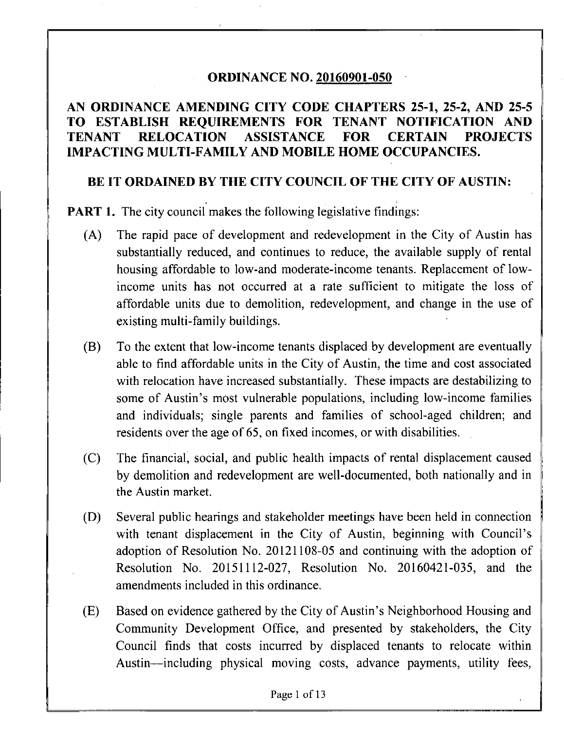#### **ORDINANCE NO. 20160901-050**

### **AN ORDINANCE AMENDING CITY CODE CHAPTERS 25-1, 25-2, AND 25-5 TO ESTABLISH REQUIREMENTS FOR TENANT NOTIFICATION AND TENANT RELOCATION ASSISTANCE FOR CERTAIN PROJECTS IMPACTING MULTI-FAMILY AND MOBILE HOME OCCUPANCIES.**

#### **BE IT ORDAINED BY THE CITY COUNCIL OF THE CITY OF AUSTIN:**

**PART 1.** The city council makes the following legislative findings:

- (A) The rapid pace of development and redevelopment in the City of Austin has substantially reduced, and continues to reduce, the available supply of rental housing affordable to low-and moderate-income tenants. Replacement of lowincome units has not occurred at a rate sufficient to mitigate the loss of affordable units due to demolition, redevelopment, and change in the use of existing multi-family buildings.
- (B) To the extent that low-income tenants displaced by development are eventually able to find affordable units in the City of Austin, the time and cost associated with relocation have increased substantially. These impacts are destabilizing to some of Austin's most vulnerable populations, including low-income families and individuals; single parents and families of school-aged children; and residents over the age of 65, on fixed incomes, or with disabilities.
- (C) The financial, social, and public health impacts of rental displacement caused by demolition and redevelopment are well-documented, both nationally and in the Austin market.
- (D) Several public hearings and stakeholder meetings have been held in connection with tenant displacement in the City of Austin, beginning with Council's adoption of Resolution No. 20121108-05 and continuing with the adoption of Resolution No. 20151112-027, Resolution No. 20160421-035, and the amendments included in this ordinance.
- (E) Based on evidence gathered by the City of Austin's Neighborhood Housing and Community Development Office, and presented by stakeholders, the City Council finds that costs incurred by displaced tenants to relocate within Austin—including physical moving costs, advance payments, utility fees,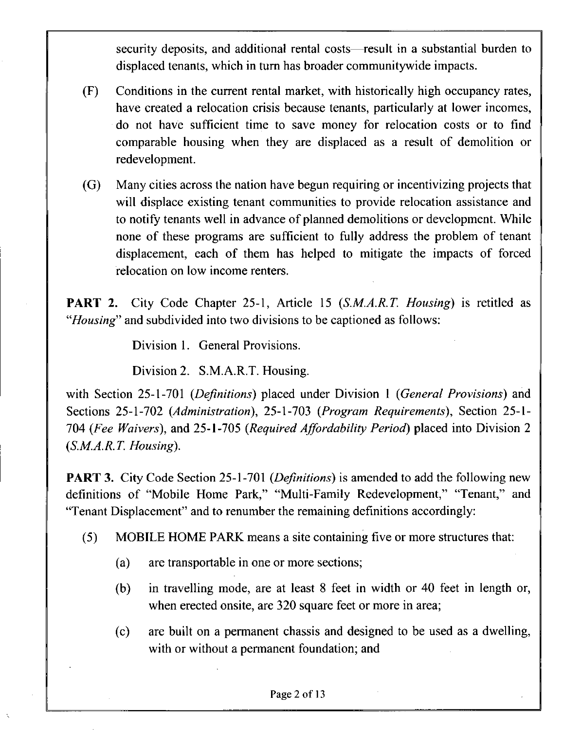security deposits, and additional rental costs—result in a substantial burden to displaced tenants, which in turn has broader communitywide impacts.

- (F) Conditions in the current rental market, with historically high occupancy rates, have created a relocation crisis because tenants, particularly at lower incomes, do not have sufficient time to save money for relocation costs or to find comparable housing when they are displaced as a result of demolition or redevelopment.
- (G) Many cities across the nation have begun requiring or incentivizing projects that will displace existing tenant communities to provide relocation assistance and to notify tenants well in advance of planned demolitions or development. While none of these programs are sufficient to fully address the problem of tenant displacement, each of them has helped to mitigate the impacts of forced relocation on low income renters.

**PART 2.** City Code Chapter 25-1, Article 15 (S.M.A.R.T. Housing) is retitled as "Housing" and subdivided into two divisions to be captioned as follows:

Division 1. General Provisions.

Division 2. S.M.A.R.T. Housing.

*with Section 25-1-701 (Definitions) placed under Division 1 (General Provisions) and Sections 25-1-702 (Administration), 25-1-703 (Program Requirements), Section 25-1- 704 (Fee Waivers), and 25-1-705 (Required Affordability Period) placed into Division 2 (S.M.A.R.T. Housing).* 

**PART 3.** City Code Section 25-1-701 (*Definitions*) is amended to add the following new definitions of "Mobile Home Park," "Multi-Family Redevelopment," "Tenant," and "Tenant Displacement" and to renumber the remaining definitions accordingly:

- (5) MOBILE HOME PARK means a site containing five or more structures that:
	- (a) are transportable in one or more sections;
	- (b) in travelling mode, are at least 8 feet in width or 40 feet in length or, when erected onsite, are 320 square feet or more in area;
	- (c) are built on a permanent chassis and designed to be used as a dwelling, with or without a permanent foundation; and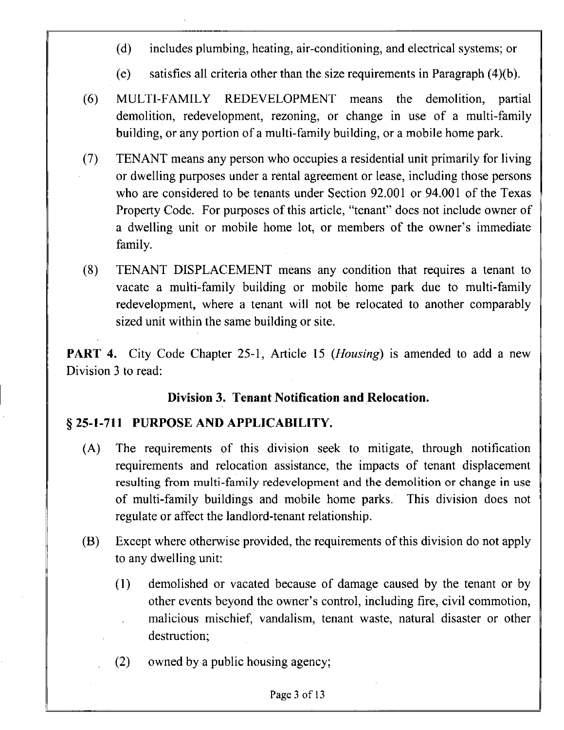- (d) includes plumbing, heating, air-conditioning, and electrical systems; or
- (e) satisfies all criteria other than the size requirements in Paragraph (4)(b).
- (6) MULTI-FAMILY REDEVELOPMENT means the demolition, partial demolition, redevelopment, rezoning, or change in use of a multi-family building, or any portion of a multi-family building, or a mobile home park.
- (7) TENANT means any person who occupies a residential unit primarily for living or dwelling purposes under a rental agreement or lease, including those persons who are considered to be tenants under Section 92.001 or 94.001 of the Texas Property Code. For purposes of this article, "tenant" does not include owner of a dwelling unit or mobile home lot, or members of the owner's immediate family.
- (8) TENANT DISPLACEMENT means any condition that requires a tenant to vacate a multi-family building or mobile home park due to multi-family redevelopment, where a tenant will not be relocated to another comparably sized unit within the same building or site.

**PART 4.** City Code Chapter 25-1, Article 15 (*Housing*) is amended to add a new Division 3 to read:

#### **Division 3. Tenant Notification and Relocation.**

#### **§ 25-1-711 PURPOSE AND APPLICABILITY.**

- (A) The requirements of this division seek to mitigate, through notification requirements and relocation assistance, the impacts of tenant displacement resulting from multi-family redevelopment and the demolition or change in use of multi-family buildings and mobile home parks. This division does not regulate or affect the landlord-tenant relationship.
- (B) Except where otherwise provided, the requirements of this division do not apply to any dwelling unit:
	- (1) demolished or vacated because of damage caused by the tenant or by other events beyond the owner's control, including fire, civil commotion, malicious mischief, vandalism, tenant waste, natural disaster or other destruction;
	- (2) owned by a public housing agency;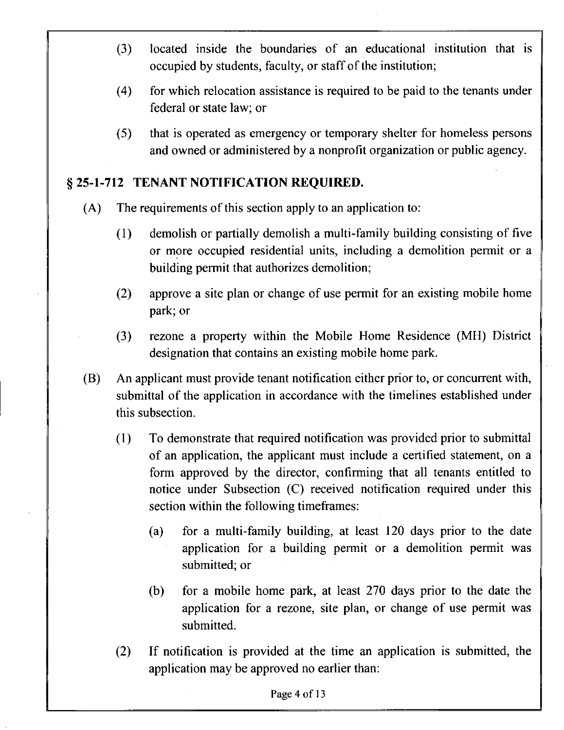- (3) located inside the boundaries of an educational institution that is occupied by students, faculty, or staff of the institution;
- (4) for which relocation assistance is required to be paid to the tenants under federal or state law; or
- (5) that is operated as emergency or temporary shelter for homeless persons and owned or administered by a nonprofit organization or public agency.

## **§ 25-1-712 TENANT NOTIFICATION REQUIRED.**

- (A) The requirements of this section apply to an application to:
	- $(1)$  demolish or partially demolish a multi-family building consisting of five or more occupied residential units, including a demolition permit or a building permit that authorizes demolition;
	- (2) approve a site plan or change of use permit for an existing mobile home park; or
	- (3) rezone a property within the Mobile Home Residence (MH) District designation that contains an existing mobile home park.
- (B) An applicant must provide tenant notification either prior to, or concurrent with, submittal of the application in accordance with the timelines established under this subsection.
	- (1) To demonstrate that required notification was provided prior to submittal of an application, the applicant must include a certified statement, on a form approved by the director, confirming that all tenants entitled to notice under Subsection (C) received notification required under this section within the following timeframes:
		- (a) for a multi-family building, at least 120 days prior to the date application for a building permit or a demolition permit was submitted; or
		- (b) for a mobile home park, at least 270 days prior to the date the application for a rezone, site plan, or change of use permit was submitted.
	- (2) If notification is provided at the time an application is submitted, the application may be approved no earlier than: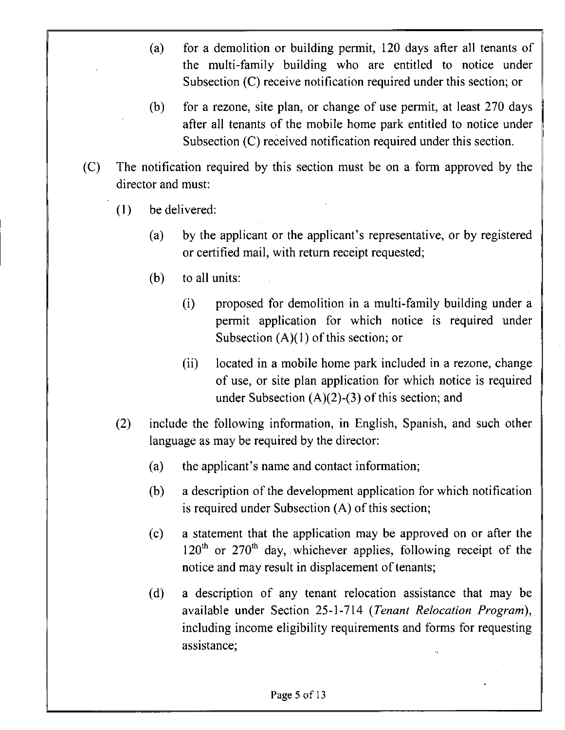- (a) for a demolition or building permit, 120 days after all tenants of the multi-family building who are entitled to notice under Subsection (C) receive notification required under this section; or
- (b) for a rezone, site plan, or change of use permit, at least 270 days after all tenants of the mobile home park entitled to notice under Subsection (C) received notification required under this section.
- (C) The notification required by this section must be on a form approved by the director and must:
	- (1) be delivered:
		- (a) by the applicant or the applicant's representative, or by registered or certified mail, with return receipt requested;
		- (b) to all units:
			- $(i)$  proposed for demolition in a multi-family building under a permit application for which notice is required under Subsection  $(A)(1)$  of this section; or
			- (ii) located in a mobile home park included in a rezone, change of use, or site plan application for which notice is required under Subsection (A)(2)-(3) of this section; and
	- (2) include the following information, in English, Spanish, and such other language as may be required by the director:
		- (a) the applicant's name and contact information;
		- (b) a description of the development application for which notification is required under Subsection (A) of this section;
		- (c) a statement that the application may be approved on or after the  $120<sup>th</sup>$  or  $270<sup>th</sup>$  day, whichever applies, following receipt of the notice and may result in displacement of tenants;
		- (d) a description of any tenant relocation assistance that may be available under Section 25-1-714 (Tenant Relocation Program), including income eligibility requirements and forms for requesting assistance;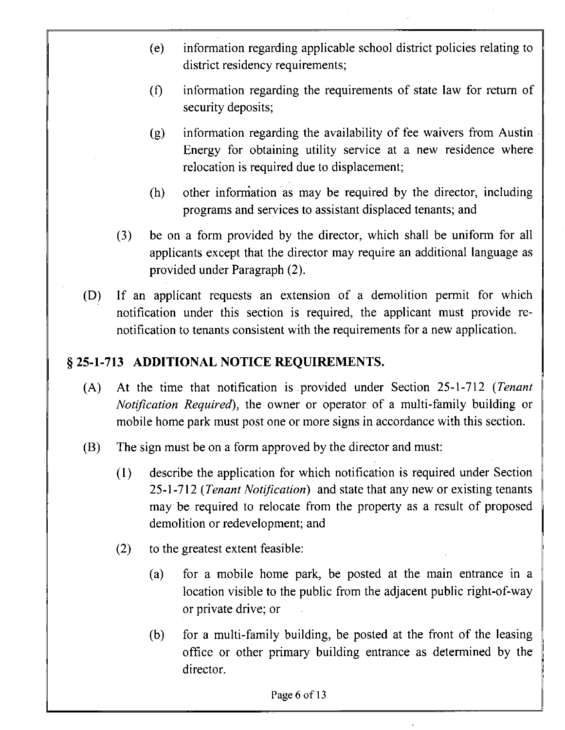- (e) information regarding applicable school district policies relating to district residency requirements;
- (f) information regarding the requirements of state law for return of security deposits;
- (g) information regarding the availability of fee waivers from Austin Energy for obtaining utility service at a new residence where relocation is required due to displacement;
- (h) other infomiation as may be required by the director, including programs and services to assistant displaced tenants; and
- (3) be on a form provided by the director, which shall be uniform for all applicants except that the director may require an additional language as provided under Paragraph (2).
- (D) If an applicant requests an extension of a demolition permit for which notification under this section is required, the applicant must provide renotification to tenants consistent with the requirements for a new application.

## **§ 25-1-713 ADDITIONAL NOTICE REQUIREMENTS.**

- $(A)$  At the time that notification is provided under Section 25-1-712 (Tenant Notification Required), the owner or operator of a multi-family building or mobile home park must post one or more signs in accordance with this section.
- (B) The sign must be on a form approved by the director and must:
	- (1) describe the application for which notification is required under Section 25-1-712 (Tenant Notification) and state that any new or existing tenants may be required to relocate from the property as a result of proposed demolition or redevelopment; and
	- (2) to the greatest extent feasible:
		- (a) for a mobile home park, be posted at the main entrance in a location visible to the public from the adjacent public right-of-way or private drive; or
		- (b) for a multi-family building, be posted at the front of the leasing office or other primary building entrance as determined by the director.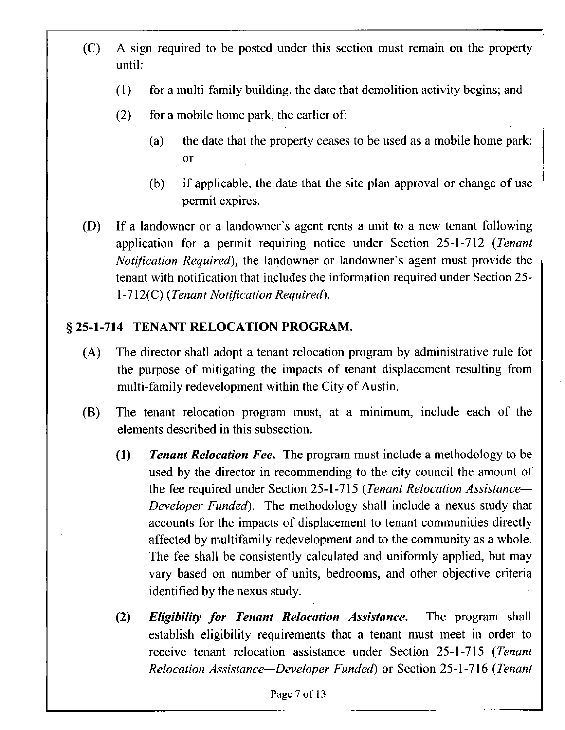- (C) A sign required to be posted under this section must remain on the property until:
	- $(1)$  for a multi-family building, the date that demolition activity begins; and
	- (2) for a mobile home park, the earlier of:
		- (a) the date that the property ceases to be used as a mobile home park; or
		- (b) if applicable, the date that the site plan approval or change of use permit expires.
- *(D) If a landowner or a landowner's agent rents a unit to a new tenant following application for a permit requiring notice under Section 25-1-712 (Tenant Notification Required*), the landowner or landowner's agent must provide the *tenant with notification that includes the information required under Section 25- 1 -712(C) (Tenant Notification Required).*

## **§ 25-1-714 TENANT RELOCATION PROGRAM.**

- (A) The director shall adopt a tenant relocation program by administrative rule for the purpose of mitigating the impacts of tenant displacement resulting from multi-family redevelopment within the City of Austin.
- (B) The tenant relocation program must, at a minimum, include each of the elements described in this subsection.
	- (1) Tenant Relocation Fee. The program must include a methodology to be used by the director in recommending to the city council the amount of the fee required under Section 25-1-715 (Tenant Relocation Assistance— Developer Funded). The methodology shall include a nexus study that accounts for the impacts of displacement to tenant communities directly affected by multifamily redevelopment and to the community as a whole. The fee shall be consistently calculated and uniformly applied, but may vary based on number of units, bedrooms, and other objective criteria identified by the nexus study.
	- *(2) Eligibility for Tenant Relocation Assistance. The program shall establish eligibility requirements that a tenant must meet in order to receive tenant relocation assistance under Section 25-1-715 (Tenant Relocation Assistance—Developer Funded) or Section 25-1-716 (Tenant*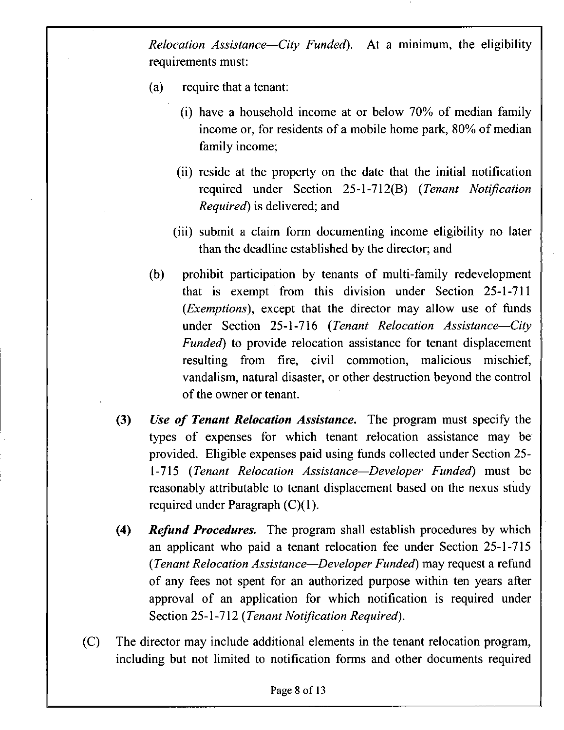Relocation Assistance—City Funded). At a minimum, the eligibility requirements must:

- (a) require that a tenant:
	- (i) have a household income at or below 70% of median family income or, for residents of a mobile home park, 80% of median family income;
	- (ii) reside at the property on the date that the initial notification required under Section 25-1-712(B) (Tenant Notification Required) is delivered; and
	- (iii) submit a claim form documenting income eligibility no later than the deadline established by the director; and
- (b) prohibit participation by tenants of multi-family redevelopment that is exempt from this division under Section 25-1-711 (*Exemptions*), except that the director may allow use of funds under Section 25-1-716 (Tenant Relocation Assistance—City Funded) to provide relocation assistance for tenant displacement resulting from fire, civil commotion, malicious mischief, vandalism, natural disaster, or other destruction beyond the control of the owner or tenant.
- (3) Use of Tenant Relocation Assistance. The program must specify the types of expenses for which tenant relocation assistance may be provided. Eligible expenses paid using fiinds collected under Section 25- 1-715 (Tenant Relocation Assistance—Developer Funded) must be reasonably attributable to tenant displacement based on the nexus study required under Paragraph (C)(1).
- *(4) Refund Procedures. The program shall establish procedures by which an applicant who paid a tenant relocation fee under Secdon 25-1-715 (Tenant Relocation Assistance—Developer Funded) may request a refiind of any fees not spent for an authorized purpose within ten years after approval of an application for which notification is required under Section 25-1-712 (Tenant Notification Required).*
- (C) The director may include additional elements in the tenant relocation program, including but not limited to notification forms and other documents required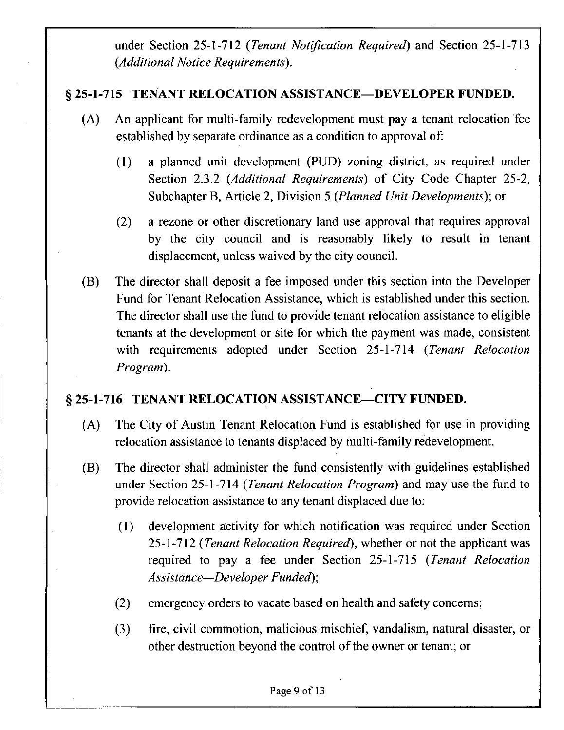*under Section 25-1-712 (Tenant Notification Required) and Section 25-1-713 (Additional Notice Requirements).* 

### **§ 25-1-715 TENANT RELOCATION ASSISTANCE—DEVELOPER FUNDED.**

- (A) An applicant for multi-family redevelopment must pay a tenant relocation fee established by separate ordinance as a condition to approval of:
	- (1) a planned unit development (PUD) zoning district, as required under Section 2.3.2 (Additional Requirements) of City Code Chapter 25-2, Subchapter B, Article 2, Division 5 (Planned Unit Developments); or
	- (2) a rezone or other discretionary land use approval that requires approval by the city council and is reasonably likely to result in tenant displacement, unless waived by the city council.
- *(B) The director shall deposit a fee imposed under this section into the Developer Fund for Tenant Relocation Assistance, which is established under this section. The director shall use the fund to provide tenant relocation assistance to eligible tenants at the development or site for which the payment was made, consistent with requirements adopted under Section 25-1-714 (Tenant Relocation Program).*

# **§ 25-1-716 TENANT RELOCATION ASSISTANCE—CITY FUNDED.**

- (A) The City of Austin Tenant Relocation Fund is established for use in providing relocation assistance to tenants displaced by multi-family redevelopment.
- (B) The director shall administer the fund consistently with guidelines established under Section 25-1-714 (Tenant Relocation Program) and may use the fund to provide relocation assistance to any tenant displaced due to:
	- *(1) development activity for which notification was required under Section 25-1-712 (Tenant Relocation Required), whether or not the applicant was required to pay a fee under Section 25-1-715 (Tenant Relocation Assistance—Developer Funded);*
	- (2) emergency orders to vacate based on health and safety concerns;
	- (3) fire, civil commotion, malicious mischief, vandalism, natural disaster, or other destruction beyond the control of the owner or tenant; or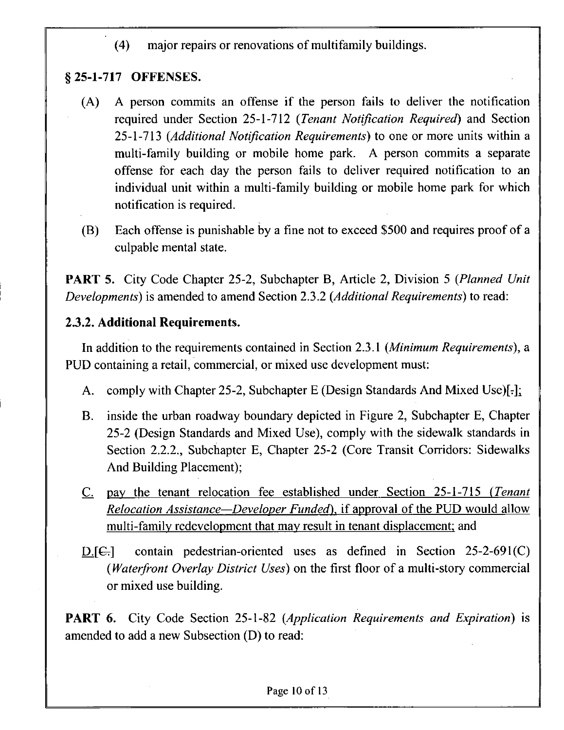(4) major repairs or renovations of multifamily buildings.

# **§25-1-717 OFFENSES.**

- (A) A person commits an offense if the person fails to deliver the notification required under Section 25-1-712 (Tenant Notification Required) and Section 25-1-713 (Additional Notification Requirements) to one or more units within a multi-family building or mobile home park. A person commits a separate offense for each day the person fails to deliver required notification to an individual unit within a multi-family building or mobile home park for which notification is required.
- (B) Each offense is punishable by a fine not to exceed \$500 and requires proof of a culpable mental state.

PART 5. City Code Chapter 25-2, Subchapter B, Article 2, Division 5 (Planned Unit Developments) is amended to amend Section 2.3.2 (Additional Requirements) to read:

## **2.3.2. Additional Requirements.**

In addition to the requirements contained in Section 2.3.1 (Minimum Requirements), a PUD containing a retail, commercial, or mixed use development must:

- A. comply with Chapter 25-2, Subchapter E (Design Standards And Mixed Use)[-];
- B. inside the urban roadway boundary depicted in Figure 2, Subchapter E, Chapter 25-2 (Design Standards and Mixed Use), comply with the sidewalk standards in Section 2.2.2., Subchapter E, Chapter 25-2 (Core Transit Corridors: Sidewalks And Building Placement);
- C. pay the tenant relocation fee established under Section 25-1-715 (Tenant Relocation Assistance—Developer Funded), if approval of the PUD would allow multi-family redevelopment that may result in tenant displacement; and
- $D$ [ $G$ ] contain pedestrian-oriented uses as defined in Section 25-2-691(C) (*Waterfront Overlay District Uses*) on the first floor of a multi-story commercial or mixed use building.

PART 6. City Code Section 25-1-82 (Application Requirements and Expiration) is amended to add a new Subsection (D) to read: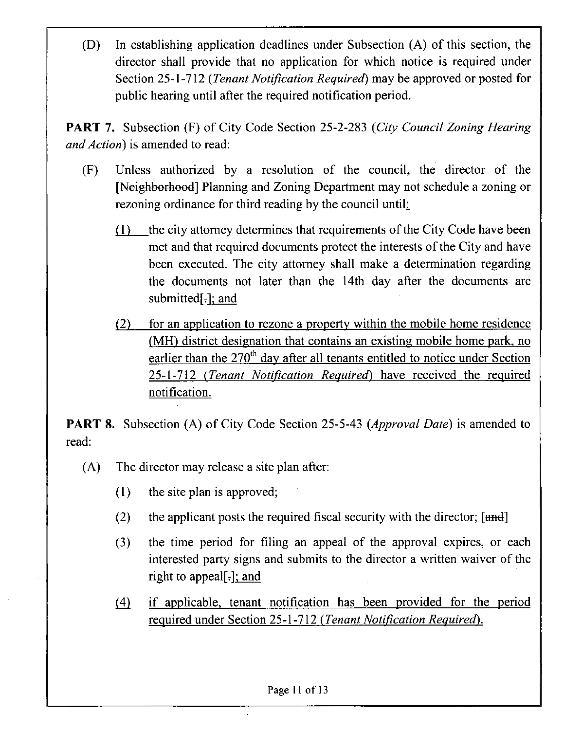(D) In establishing application deadlines under Subsection (A) of this section, the director shall provide that no application for which notice is required under Section 25-1-712 (Tenant Notification Required) may be approved or posted for public hearing until after the required notification period.

PART 7. Subsection (F) of City Code Section 25-2-283 (City Council Zoning Hearing and Action) is amended to read:

- (F) Unless authorized by a resolution of the council, the director of the [Neighborhood] Planning and Zoning Department may not schedule a zoning or rezoning ordinance for third reading by the council until:
	- (1) the city attorney determines that requirements of the City Code have been met and that required documents protect the interests of the City and have been executed. The city attorney shall make a determination regarding the documents not later than the 14th day after the documents are submitted[-]; and
	- (2) for an application to rezone a property within the mobile home residence (MH) district designation that contains an existing mobile home park, no earlier than the  $270<sup>th</sup>$  day after all tenants entitled to notice under Section 25-1-712 (Tenant Notification Required) have received the required notification.

**PART 8.** Subsection (A) of City Code Section 25-5-43 (*Approval Date*) is amended to read:

- (A) The director may release a site plan after:
	- (1) the site plan is approved;
	- (2) the applicant posts the required fiscal security with the director;  $[and]$
	- (3) the time period for filing an appeal of the approval expires, or each interested party signs and submits to the director a written waiver of the right to appeal[ $=$ ]; and
	- *(4) if applicable, tenant notification has been provided for the period required under Section 25-1-712 (Tenant Notification Required).*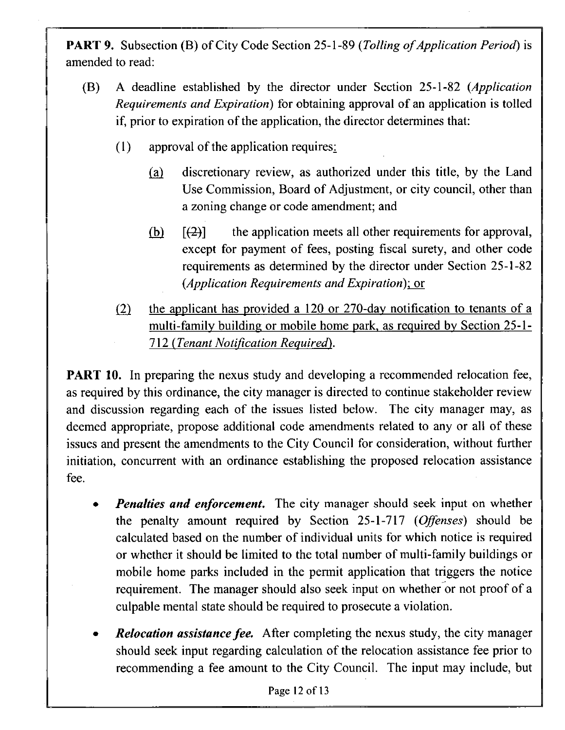PART 9. Subsection (B) of City Code Section 25-1-89 (Tolling of Application Period) is amended to read:

- (B) A deadline established by the director under Section 25-1-82 (Application Requirements and Expiration) for obtaining approval of an application is tolled if, prior to expiration of the application, the director determines that:
	- (1) approval of the application requires;
		- (a) discretionary review, as authorized under this title, by the Land Use Commission, Board of Adjustment, or city council, other than a zoning change or code amendment; and
		- (b)  $[(2)]$  the application meets all other requirements for approval, except for payment of fees, posting fiscal surety, and other code requirements as determined by the director under Section 25-1-82 (Application Requirements and Expiration); or
	- *(2) the applicant has provided a 120 or 270-day notification to tenants of a multi-family building or mobile home park, as required by Section 25-1- 712 (Tenant Notification Required).*

**PART 10.** In preparing the nexus study and developing a recommended relocation fee, as required by this ordinance, the city manager is directed to continue stakeholder review and discussion regarding each of the issues listed below. The city manager may, as deemed appropriate, propose additional code amendments related to any or all of these issues and present the amendments to the City Council for consideration, without further initiation, concurrent with an ordinance establishing the proposed relocation assistance fee.

- **Penalties and enforcement.** The city manager should seek input on whether the penalty amount required by Section 25-1-717 (Offenses) should be calculated based on the number of individual units for which nodce is required or whether it should be limited to the total number of multi-family buildings or mobile home parks included in the permit application that triggers the notice requirement. The manager should also seek input on whether or not proof of a culpable mental state should be required to prosecute a violation.
- **Relocation assistance fee.** After completing the nexus study, the city manager should seek input regarding calculation of the relocation assistance fee prior to recommending a fee amount to the City Council. The input may include, but